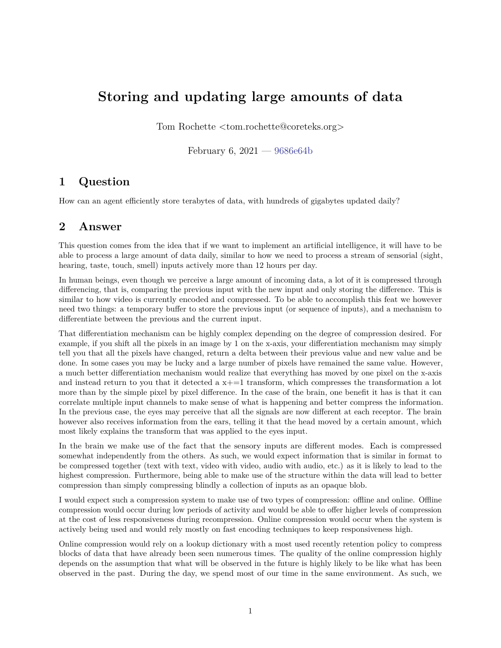## **Storing and updating large amounts of data**

Tom Rochette <tom.rochette@coreteks.org>

February 6,  $2021 - 9686e64b$  $2021 - 9686e64b$ 

## **1 Question**

How can an agent efficiently store terabytes of data, with hundreds of gigabytes updated daily?

## **2 Answer**

This question comes from the idea that if we want to implement an artificial intelligence, it will have to be able to process a large amount of data daily, similar to how we need to process a stream of sensorial (sight, hearing, taste, touch, smell) inputs actively more than 12 hours per day.

In human beings, even though we perceive a large amount of incoming data, a lot of it is compressed through differencing, that is, comparing the previous input with the new input and only storing the difference. This is similar to how video is currently encoded and compressed. To be able to accomplish this feat we however need two things: a temporary buffer to store the previous input (or sequence of inputs), and a mechanism to differentiate between the previous and the current input.

That differentiation mechanism can be highly complex depending on the degree of compression desired. For example, if you shift all the pixels in an image by 1 on the x-axis, your differentiation mechanism may simply tell you that all the pixels have changed, return a delta between their previous value and new value and be done. In some cases you may be lucky and a large number of pixels have remained the same value. However, a much better differentiation mechanism would realize that everything has moved by one pixel on the x-axis and instead return to you that it detected a  $x+=1$  transform, which compresses the transformation a lot more than by the simple pixel by pixel difference. In the case of the brain, one benefit it has is that it can correlate multiple input channels to make sense of what is happening and better compress the information. In the previous case, the eyes may perceive that all the signals are now different at each receptor. The brain however also receives information from the ears, telling it that the head moved by a certain amount, which most likely explains the transform that was applied to the eyes input.

In the brain we make use of the fact that the sensory inputs are different modes. Each is compressed somewhat independently from the others. As such, we would expect information that is similar in format to be compressed together (text with text, video with video, audio with audio, etc.) as it is likely to lead to the highest compression. Furthermore, being able to make use of the structure within the data will lead to better compression than simply compressing blindly a collection of inputs as an opaque blob.

I would expect such a compression system to make use of two types of compression: offline and online. Offline compression would occur during low periods of activity and would be able to offer higher levels of compression at the cost of less responsiveness during recompression. Online compression would occur when the system is actively being used and would rely mostly on fast encoding techniques to keep responsiveness high.

Online compression would rely on a lookup dictionary with a most used recently retention policy to compress blocks of data that have already been seen numerous times. The quality of the online compression highly depends on the assumption that what will be observed in the future is highly likely to be like what has been observed in the past. During the day, we spend most of our time in the same environment. As such, we